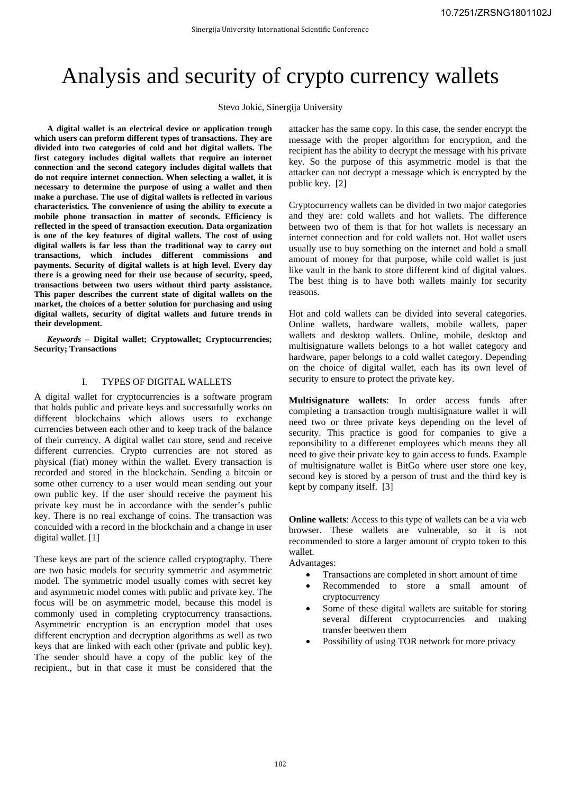# Analysis and security of crypto currency wallets

Stevo Jokić, Sinergija University

**A digital wallet is an electrical device or application trough which users can preform different types of transactions. They are divided into two categories of cold and hot digital wallets. The first category includes digital wallets that require an internet connection and the second category includes digital wallets that do not require internet connection. When selecting a wallet, it is necessary to determine the purpose of using a wallet and then make a purchase. The use of digital wallets is reflected in various characteristics. The convenience of using the ability to execute a mobile phone transaction in matter of seconds. Efficiency is reflected in the speed of transaction execution. Data organization is one of the key features of digital wallets. The cost of using digital wallets is far less than the traditional way to carry out transactions, which includes different commissions and payments. Security of digital wallets is at high level. Every day there is a growing need for their use because of security, speed, transactions between two users without third party assistance. This paper describes the current state of digital wallets on the market, the choices of a better solution for purchasing and using digital wallets, security of digital wallets and future trends in their development.** 

*Keywords* **– Digital wallet; Cryptowallet; Cryptocurrencies; Security; Transactions** 

## I. TYPES OF DIGITAL WALLETS

A digital wallet for cryptocurrencies is a software program that holds public and private keys and successufully works on different blockchains which allows users to exchange currencies between each other and to keep track of the balance of their currency. A digital wallet can store, send and receive different currencies. Crypto currencies are not stored as physical (fiat) money within the wallet. Every transaction is recorded and stored in the blockchain. Sending a bitcoin or some other currency to a user would mean sending out your own public key. If the user should receive the payment his private key must be in accordance with the sender's public key. There is no real exchange of coins. The transaction was conculded with a record in the blockchain and a change in user digital wallet. [1]

These keys are part of the science called cryptography. There are two basic models for security symmetric and asymmetric model. The symmetric model usually comes with secret key and asymmetric model comes with public and private key. The focus will be on asymmetric model, because this model is commonly used in completing cryptocurrency transactions. Asymmetric encryption is an encryption model that uses different encryption and decryption algorithms as well as two keys that are linked with each other (private and public key). The sender should have a copy of the public key of the recipient., but in that case it must be considered that the attacker has the same copy. In this case, the sender encrypt the message with the proper algorithm for encryption, and the recipient has the ability to decrypt the message with his private key. So the purpose of this asymmetric model is that the attacker can not decrypt a message which is encrypted by the public key. [2]

Cryptocurrency wallets can be divided in two major categories and they are: cold wallets and hot wallets. The difference between two of them is that for hot wallets is necessary an internet connection and for cold wallets not. Hot wallet users usually use to buy something on the internet and hold a small amount of money for that purpose, while cold wallet is just like vault in the bank to store different kind of digital values. The best thing is to have both wallets mainly for security reasons.

Hot and cold wallets can be divided into several categories. Online wallets, hardware wallets, mobile wallets, paper wallets and desktop wallets. Online, mobile, desktop and multisignature wallets belongs to a hot wallet category and hardware, paper belongs to a cold wallet category. Depending on the choice of digital wallet, each has its own level of security to ensure to protect the private key.

**Multisignature wallets**: In order access funds after completing a transaction trough multisignature wallet it will need two or three private keys depending on the level of security. This practice is good for companies to give a reponsibility to a differenet employees which means they all need to give their private key to gain access to funds. Example of multisignature wallet is BitGo where user store one key, second key is stored by a person of trust and the third key is kept by company itself. [3]

**Online wallets**: Access to this type of wallets can be a via web browser. These wallets are vulnerable, so it is not recommended to store a larger amount of crypto token to this wallet.

Advantages:

- Transactions are completed in short amount of time
- Recommended to store a small amount of cryptocurrency
- Some of these digital wallets are suitable for storing several different cryptocurrencies and making transfer beetwen them
- Possibility of using TOR network for more privacy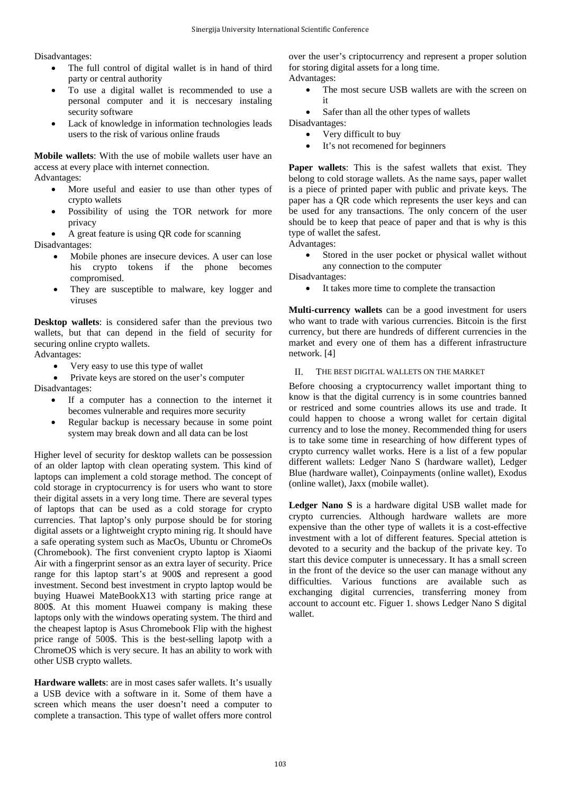Disadvantages:

- The full control of digital wallet is in hand of third party or central authority
- To use a digital wallet is recommended to use a personal computer and it is neccesary instaling security software
- Lack of knowledge in information technologies leads users to the risk of various online frauds

**Mobile wallets**: With the use of mobile wallets user have an access at every place with internet connection. Advantages:

- More useful and easier to use than other types of crypto wallets
- Possibility of using the TOR network for more privacy
- A great feature is using QR code for scanning

Disadvantages:

- Mobile phones are insecure devices. A user can lose his crypto tokens if the phone becomes compromised.
- They are susceptible to malware, key logger and viruses

**Desktop wallets**: is considered safer than the previous two wallets, but that can depend in the field of security for securing online crypto wallets.

Advantages:

Very easy to use this type of wallet

• Private keys are stored on the user's computer Disadvantages:

- If a computer has a connection to the internet it becomes vulnerable and requires more security
- Regular backup is necessary because in some point system may break down and all data can be lost

Higher level of security for desktop wallets can be possession of an older laptop with clean operating system. This kind of laptops can implement a cold storage method. The concept of cold storage in cryptocurrency is for users who want to store their digital assets in a very long time. There are several types of laptops that can be used as a cold storage for crypto currencies. That laptop's only purpose should be for storing digital assets or a lightweight crypto mining rig. It should have a safe operating system such as MacOs, Ubuntu or ChromeOs (Chromebook). The first convenient crypto laptop is Xiaomi Air with a fingerprint sensor as an extra layer of security. Price range for this laptop start's at 900\$ and represent a good investment. Second best investment in crypto laptop would be buying Huawei MateBookX13 with starting price range at 800\$. At this moment Huawei company is making these laptops only with the windows operating system. The third and the cheapest laptop is Asus Chromebook Flip with the highest price range of 500\$. This is the best-selling lapotp with a ChromeOS which is very secure. It has an ability to work with other USB crypto wallets.

**Hardware wallets**: are in most cases safer wallets. It's usually a USB device with a software in it. Some of them have a screen which means the user doesn't need a computer to complete a transaction. This type of wallet offers more control

over the user's criptocurrency and represent a proper solution for storing digital assets for a long time. Advantages:

- The most secure USB wallets are with the screen on it
- Safer than all the other types of wallets

Disadvantages:

- Very difficult to buy
- It's not recomened for beginners

**Paper wallets**: This is the safest wallets that exist. They belong to cold storage wallets. As the name says, paper wallet is a piece of printed paper with public and private keys. The paper has a QR code which represents the user keys and can be used for any transactions. The only concern of the user should be to keep that peace of paper and that is why is this type of wallet the safest.

Advantages:

Stored in the user pocket or physical wallet without any connection to the computer

Disadvantages:

• It takes more time to complete the transaction

**Multi-currency wallets** can be a good investment for users who want to trade with various currencies. Bitcoin is the first currency, but there are hundreds of different currencies in the market and every one of them has a different infrastructure network. [4]

II. THE BEST DIGITAL WALLETS ON THE MARKET

Before choosing a cryptocurrency wallet important thing to know is that the digital currency is in some countries banned or restriced and some countries allows its use and trade. It could happen to choose a wrong wallet for certain digital currency and to lose the money. Recommended thing for users is to take some time in researching of how different types of crypto currency wallet works. Here is a list of a few popular different wallets: Ledger Nano S (hardware wallet), Ledger Blue (hardware wallet), Coinpayments (online wallet), Exodus (online wallet), Jaxx (mobile wallet).

**Ledger Nano S** is a hardware digital USB wallet made for crypto currencies. Although hardware wallets are more expensive than the other type of wallets it is a cost-effective investment with a lot of different features. Special attetion is devoted to a security and the backup of the private key. To start this device computer is unnecessary. It has a small screen in the front of the device so the user can manage without any difficulties. Various functions are available such as exchanging digital currencies, transferring money from account to account etc. Figuer 1. shows Ledger Nano S digital wallet.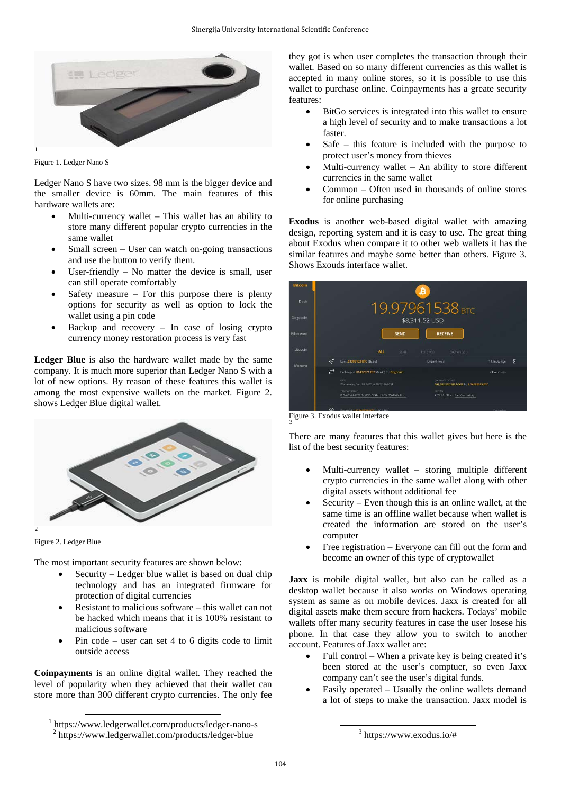

Figure 1. Ledger Nano S

Ledger Nano S have two sizes. 98 mm is the bigger device and the smaller device is 60mm. The main features of this hardware wallets are:

- Multi-currency wallet This wallet has an ability to store many different popular crypto currencies in the same wallet
- Small screen User can watch on-going transactions and use the button to verify them.
- User-friendly  $-$  No matter the device is small, user can still operate comfortably
- Safety measure  $-$  For this purpose there is plenty options for security as well as option to lock the wallet using a pin code
- Backup and recovery  $-$  In case of losing crypto currency money restoration process is very fast

**Ledger Blue** is also the hardware wallet made by the same company. It is much more superior than Ledger Nano S with a lot of new options. By reason of these features this wallet is among the most expensive wallets on the market. Figure 2. shows Ledger Blue digital wallet.



Figure 2. Ledger Blue

The most important security features are shown below:

- Security Ledger blue wallet is based on dual chip technology and has an integrated firmware for protection of digital currencies
- Resistant to malicious software this wallet can not be hacked which means that it is 100% resistant to malicious software
- Pin code user can set 4 to 6 digits code to limit outside access

**Coinpayments** is an online digital wallet. They reached the level of popularity when they achieved that their wallet can store more than 300 different crypto currencies. The only fee they got is when user completes the transaction through their wallet. Based on so many different currencies as this wallet is accepted in many online stores, so it is possible to use this wallet to purchase online. Coinpayments has a greate security features:

- BitGo services is integrated into this wallet to ensure a high level of security and to make transactions a lot faster.
- Safe  $-$  this feature is included with the purpose to protect user's money from thieves
- Multi-currency wallet  $-$  An ability to store different currencies in the same wallet
- Common Often used in thousands of online stores for online purchasing

**Exodus** is another web-based digital wallet with amazing design, reporting system and it is easy to use. The great thing about Exodus when compare it to other web wallets it has the similar features and maybe some better than others. Figure 3. Shows Exouds interface wallet.



Figure 3. Exodus wallet interface

There are many features that this wallet gives but here is the list of the best security features:

- Multi-currency wallet storing multiple different crypto currencies in the same wallet along with other digital assets without additional fee
- Security Even though this is an online wallet, at the same time is an offline wallet because when wallet is created the information are stored on the user's computer
- Free registration Everyone can fill out the form and become an owner of this type of cryptowallet

**Jaxx** is mobile digital wallet, but also can be called as a desktop wallet because it also works on Windows operating system as same as on mobile devices. Jaxx is created for all digital assets make them secure from hackers. Todays' mobile wallets offer many security features in case the user losese his phone. In that case they allow you to switch to another account. Features of Jaxx wallet are:

- Full control When a private key is being created it's been stored at the user's comptuer, so even Jaxx company can't see the user's digital funds.
- Easily operated Usually the online wallets demand a lot of steps to make the transaction. Jaxx model is

<sup>&</sup>lt;sup>1</sup> https://www.ledgerwallet.com/products/ledger-nano-s <sup>2</sup> https://www.ledgerwallet.com/products/ledger-blue

<sup>3</sup> https://www.exodus.io/#